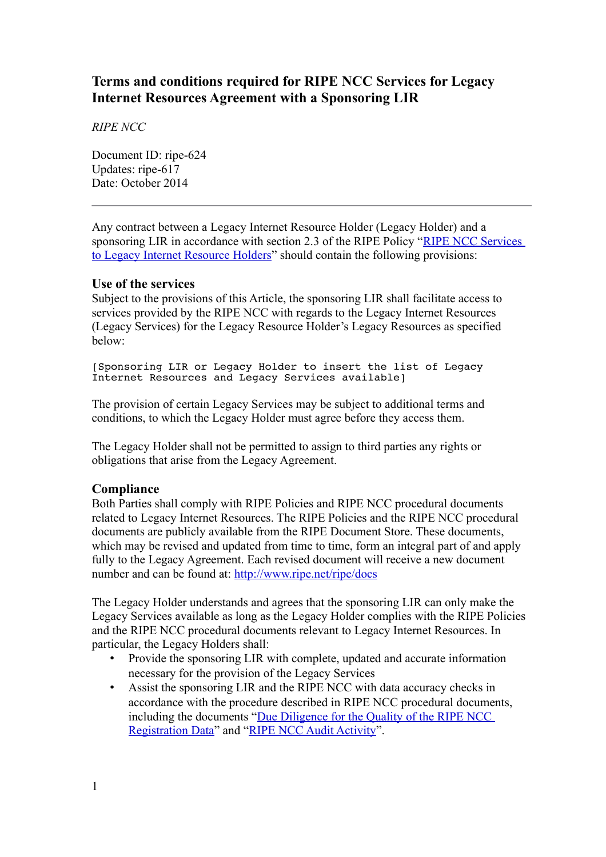# **Terms and conditions required for RIPE NCC Services for Legacy Internet Resources Agreement with a Sponsoring LIR**

*RIPE NCC*

Document ID: ripe-624 Updates: ripe-617 Date: October 2014

Any contract between a Legacy Internet Resource Holder (Legacy Holder) and a sponsoring LIR in accordance with section 2.3 of the RIPE Policy ["RIPE NCC Services](https://www.ripe.net/ripe/docs/ripe-605)  [to Legacy Internet Resource Holders"](https://www.ripe.net/ripe/docs/ripe-605) should contain the following provisions:

#### **Use of the services**

Subject to the provisions of this Article, the sponsoring LIR shall facilitate access to services provided by the RIPE NCC with regards to the Legacy Internet Resources (Legacy Services) for the Legacy Resource Holder's Legacy Resources as specified below:

[Sponsoring LIR or Legacy Holder to insert the list of Legacy Internet Resources and Legacy Services available]

The provision of certain Legacy Services may be subject to additional terms and conditions, to which the Legacy Holder must agree before they access them.

The Legacy Holder shall not be permitted to assign to third parties any rights or obligations that arise from the Legacy Agreement.

## **Compliance**

Both Parties shall comply with RIPE Policies and RIPE NCC procedural documents related to Legacy Internet Resources. The RIPE Policies and the RIPE NCC procedural documents are publicly available from the RIPE Document Store. These documents, which may be revised and updated from time to time, form an integral part of and apply fully to the Legacy Agreement. Each revised document will receive a new document number and can be found at:<http://www.ripe.net/ripe/docs>

The Legacy Holder understands and agrees that the sponsoring LIR can only make the Legacy Services available as long as the Legacy Holder complies with the RIPE Policies and the RIPE NCC procedural documents relevant to Legacy Internet Resources. In particular, the Legacy Holders shall:

- Provide the sponsoring LIR with complete, updated and accurate information necessary for the provision of the Legacy Services
- Assist the sponsoring LIR and the RIPE NCC with data accuracy checks in accordance with the procedure described in RIPE NCC procedural documents, including the documents ["Due Diligence for the Quality of the RIPE NCC](https://www.ripe.net/ripe/docs/due-diligence)  [Registration Data"](https://www.ripe.net/ripe/docs/due-diligence) and ["RIPE NCC Audit Activity"](https://www.ripe.net/ripe/docs/audit).